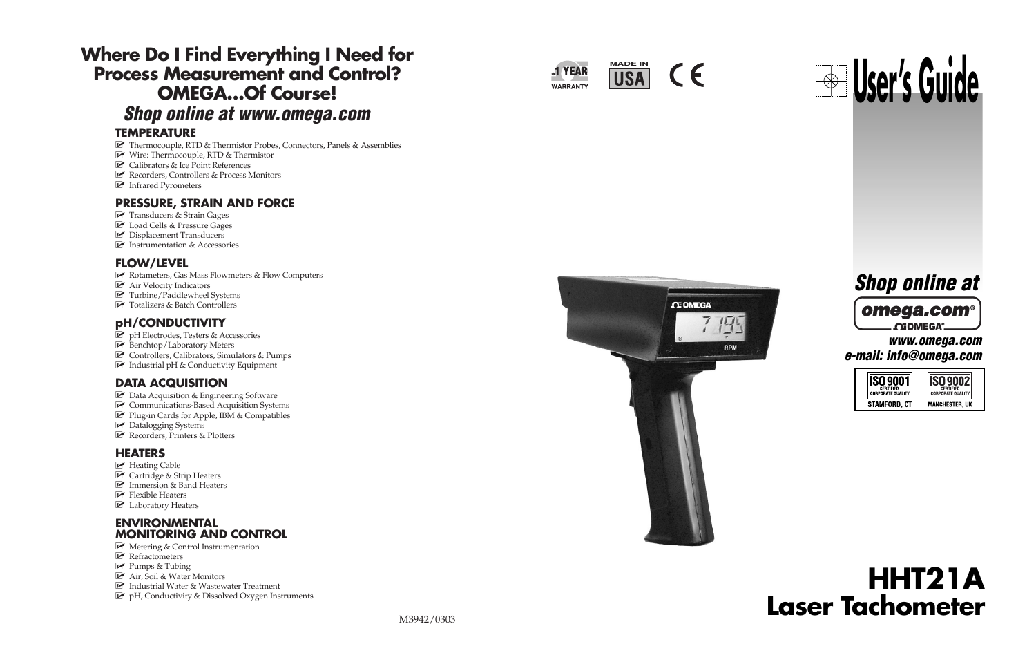# **Where Do I Find Everything I Need for Process Measurement and Control? OMEGA…Of Course!** *Shop online at www.omega.com*

### **TEMPERATURE**

- Thermocouple, RTD & Thermistor Probes, Connectors, Panels & Assemblies
- Wire: Thermocouple, RTD & Thermistor
- Calibrators & Ice Point References
- Recorders, Controllers & Process Monitors
- Infrared Pyrometers

### **PRESSURE, STRAIN AND FORCE**

- **P** Transducers & Strain Gages
- Load Cells & Pressure Gages
- **P** Displacement Transducers
- **EX** Instrumentation & Accessories

### **FLOW/LEVEL**

- **Z** Rotameters, Gas Mass Flowmeters & Flow Computers
- **E** Air Velocity Indicators
- Turbine/Paddlewheel Systems
- Totalizers & Batch Controllers

### **pH/CONDUCTIVITY**

- P pH Electrodes, Testers & Accessories
- **Benchtop/Laboratory Meters**
- Controllers, Calibrators, Simulators & Pumps
- $\blacksquare$  Industrial pH & Conductivity Equipment

### **DATA ACQUISITION**

- **Z** Data Acquisition & Engineering Software
- **Z** Communications-Based Acquisition Systems
- Plug-in Cards for Apple, IBM & Compatibles
- **E** Datalogging Systems
- Recorders, Printers & Plotters

### **HEATERS**

- **E** Heating Cable
- **P** Cartridge & Strip Heaters
- **E** Immersion & Band Heaters
- **P** Flexible Heaters
- **E** Laboratory Heaters

### **ENVIRONMENTAL MONITORING AND CONTROL**

- Metering & Control Instrumentation
- **E** Refractometers
- Pumps & Tubing
- Air, Soil & Water Monitors
- $\blacksquare$  Industrial Water & Wastewater Treatment
- pH, Conductivity & Dissolved Oxygen Instruments



 $\epsilon$ 



# **CE OMEGA** RPM

# *Shop online at*

### omega.c **CEOMEGA®** *www.omega.com*

*e-mail: info@omega.com*



# **HHT21A Laser Tachometer**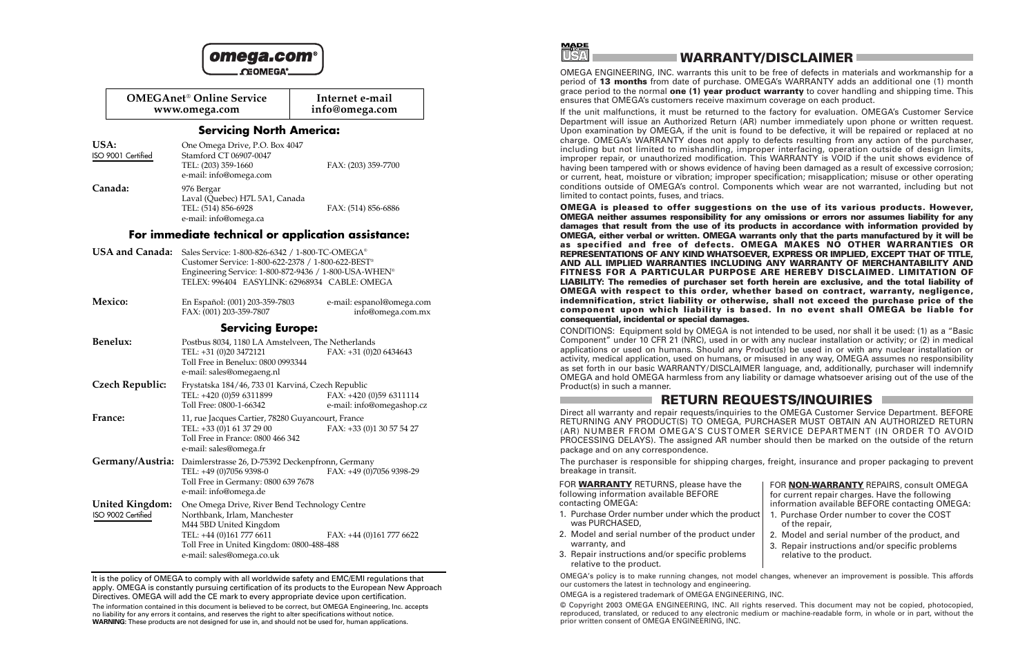|                                       | <b>OMEGAnet<sup>®</sup> Online Service</b><br>www.omega.com                                                                                                                                                                             | Internet e-mail<br>info@omega.com                    |
|---------------------------------------|-----------------------------------------------------------------------------------------------------------------------------------------------------------------------------------------------------------------------------------------|------------------------------------------------------|
|                                       | <b>Servicing North America:</b>                                                                                                                                                                                                         |                                                      |
| USA:<br>ISO 9001 Certified            | One Omega Drive, P.O. Box 4047<br>Stamford CT 06907-0047<br>TEL: (203) 359-1660<br>e-mail: info@omega.com                                                                                                                               | FAX: (203) 359-7700                                  |
| Canada:                               | 976 Bergar<br>Laval (Quebec) H7L 5A1, Canada<br>TEL: (514) 856-6928<br>e-mail: info@omega.ca                                                                                                                                            | FAX: (514) 856-6886                                  |
|                                       | For immediate technical or application assistance:                                                                                                                                                                                      |                                                      |
| USA and Canada:                       | Sales Service: 1-800-826-6342 / 1-800-TC-OMEGA®<br>Customer Service: 1-800-622-2378 / 1-800-622-BEST <sup>®</sup><br>Engineering Service: 1-800-872-9436 / 1-800-USA-WHEN <sup>®</sup><br>TELEX: 996404 EASYLINK: 62968934 CABLE: OMEGA |                                                      |
| Mexico:                               | En Español: (001) 203-359-7803<br>FAX: (001) 203-359-7807                                                                                                                                                                               | e-mail: espanol@omega.com<br>info@omega.com.mx       |
|                                       | <b>Servicing Europe:</b>                                                                                                                                                                                                                |                                                      |
| Benelux:                              | Postbus 8034, 1180 LA Amstelveen, The Netherlands<br>TEL: +31 (0)20 3472121<br>Toll Free in Benelux: 0800 0993344<br>e-mail: sales@omegaeng.nl                                                                                          | FAX: +31 (0)20 6434643                               |
| Czech Republic:                       | Frystatska 184/46, 733 01 Karviná, Czech Republic<br>TEL: +420 (0)59 6311899<br>Toll Free: 0800-1-66342                                                                                                                                 | FAX: +420 (0)59 6311114<br>e-mail: info@omegashop.cz |
| France:                               | 11, rue Jacques Cartier, 78280 Guyancourt, France<br>TEL: +33 (0)1 61 37 29 00<br>Toll Free in France: 0800 466 342<br>e-mail: sales@omega.fr                                                                                           | FAX: +33 (0)1 30 57 54 27                            |
| Germany/Austria:                      | Daimlerstrasse 26, D-75392 Deckenpfronn, Germany<br>TEL: +49 (0)7056 9398-0<br>Toll Free in Germany: 0800 639 7678<br>e-mail: info@omega.de                                                                                             | FAX: +49 (0)7056 9398-29                             |
| United Kingdom:<br>ISO 9002 Certified | One Omega Drive, River Bend Technology Centre<br>Northbank, Irlam, Manchester<br>M44 5BD United Kingdom<br>TEL: +44 (0)161 777 6611<br>Toll Free in United Kingdom: 0800-488-488<br>e-mail: sales@omega.co.uk                           | FAX: +44 (0)161 777 6622                             |

It is the policy of OMEGA to comply with all worldwide safety and EMC/EMI regulations that apply. OMEGA is constantly pursuing certification of its products to the European New Approach Directives. OMEGA will add the CE mark to every appropriate device upon certification.

The information contained in this document is believed to be correct, but OMEGA Engineering, Inc. accepts no liability for any errors it contains, and reserves the right to alter specifications without notice. **WARNING:** These products are not designed for use in, and should not be used for, human applications.

**TURYA** 

### **WARRANTY/DISCLAIMER**

OMEGA ENGINEERING, INC. warrants this unit to be free of defects in materials and workmanship for a period of **13 months** from date of purchase. OMEGA's WARRANTY adds an additional one (1) month grace period to the normal **one (1) year product warranty** to cover handling and shipping time. This ensures that OMEGA's customers receive maximum coverage on each product.

If the unit malfunctions, it must be returned to the factory for evaluation. OMEGA's Customer Service Department will issue an Authorized Return (AR) number immediately upon phone or written request. Upon examination by OMEGA, if the unit is found to be defective, it will be repaired or replaced at no charge. OMEGA's WARRANTY does not apply to defects resulting from any action of the purchaser, including but not limited to mishandling, improper interfacing, operation outside of design limits, improper repair, or unauthorized modification. This WARRANTY is VOID if the unit shows evidence of having been tampered with or shows evidence of having been damaged as a result of excessive corrosion; or current, heat, moisture or vibration; improper specification; misapplication; misuse or other operating conditions outside of OMEGA's control. Components which wear are not warranted, including but not limited to contact points, fuses, and triacs.

**OMEGA is pleased to offer suggestions on the use of its various products. However, OMEGA neither assumes responsibility for any omissions or errors nor assumes liability for any damages that result from the use of its products in accordance with information provided by OMEGA, either verbal or written. OMEGA warrants only that the parts manufactured by it will be as specified and free of defects. OMEGA MAKES NO OTHER WARRANTIES OR REPRESENTATIONS OF ANY KIND WHATSOEVER, EXPRESS OR IMPLIED, EXCEPT THAT OF TITLE, AND ALL IMPLIED WARRANTIES INCLUDING ANY WARRANTY OF MERCHANTABILITY AND FITNESS FOR A PARTICULAR PURPOSE ARE HEREBY DISCLAIMED. LIMITATION OF LIABILITY: The remedies of purchaser set forth herein are exclusive, and the total liability of OMEGA with respect to this order, whether based on contract, warranty, negligence, indemnification, strict liability or otherwise, shall not exceed the purchase price of the component upon which liability is based. In no event shall OMEGA be liable for consequential, incidental or special damages.**

CONDITIONS: Equipment sold by OMEGA is not intended to be used, nor shall it be used: (1) as a "Basic Component" under 10 CFR 21 (NRC), used in or with any nuclear installation or activity; or (2) in medical applications or used on humans. Should any Product(s) be used in or with any nuclear installation or activity, medical application, used on humans, or misused in any way, OMEGA assumes no responsibility as set forth in our basic WARRANTY/DISCLAIMER language, and, additionally, purchaser will indemnify OMEGA and hold OMEGA harmless from any liability or damage whatsoever arising out of the use of the Product(s) in such a manner.

### **RETURN REQUESTS/INQUIRIES**

Direct all warranty and repair requests/inquiries to the OMEGA Customer Service Department. BEFORE RETURNING ANY PRODUCT(S) TO OMEGA, PURCHASER MUST OBTAIN AN AUTHORIZED RETURN (AR) NUMBER FROM OMEGA'S CUSTOMER SERVICE DEPARTMENT (IN ORDER TO AVOID PROCESSING DELAYS). The assigned AR number should then be marked on the outside of the return package and on any correspondence.

The purchaser is responsible for shipping charges, freight, insurance and proper packaging to prevent breakage in transit.

FOR **WARRANTY** RETURNS, please have the following information available BEFORE contacting OMEGA:

- 1. Purchase Order number under which the product was PURCHASED,
- 2. Model and serial number of the product under warranty, and
- 3. Repair instructions and/or specific problems relative to the product.

3. Repair instructions and/or specific problems relative to the product.

of the repair,

FOR **NON-WARRANTY** REPAIRS, consult OMEGA for current repair charges. Have the following information available BEFORE contacting OMEGA: 1. Purchase Order number to cover the COST

2. Model and serial number of the product, and

OMEGA's policy is to make running changes, not model changes, whenever an improvement is possible. This affords our customers the latest in technology and engineering.

OMEGA is a registered trademark of OMEGA ENGINEERING, INC.

© Copyright 2003 OMEGA ENGINEERING, INC. All rights reserved. This document may not be copied, photocopied, reproduced, translated, or reduced to any electronic medium or machine-readable form, in whole or in part, without the prior written consent of OMEGA ENGINEERING, INC.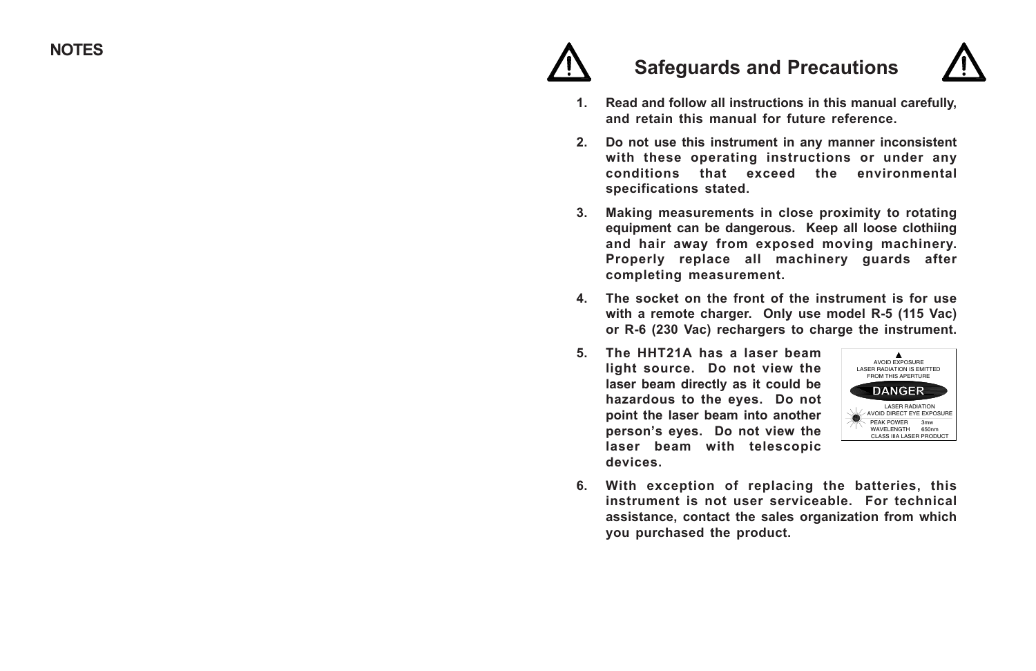

# **Safeguards and Precautions**



- **1. Read and follow all instructions in this manual carefully, and retain this manual for future reference.**
- **2. Do not use this instrument in any manner inconsistent with these operating instructions or under any conditions that exceed the environmental specifications stated.**
- **3. Making measurements in close proximity to rotating equipment can be dangerous. Keep all loose clothiing and hair away from exposed moving machinery. Properly replace all machinery guards after completing measurement.**
- **4. The socket on the front of the instrument is for use with a remote charger. Only use model R-5 (115 Vac) or R-6 (230 Vac) rechargers to charge the instrument.**
- **5. The HHT21A has a laser beam light source. Do not view the laser beam directly as it could be hazardous to the eyes. Do not point the laser beam into another person's eyes. Do not view the laser beam with telescopic devices.**



**6. With exception of replacing the batteries, this instrument is not user serviceable. For technical assistance, contact the sales organization from which you purchased the product.**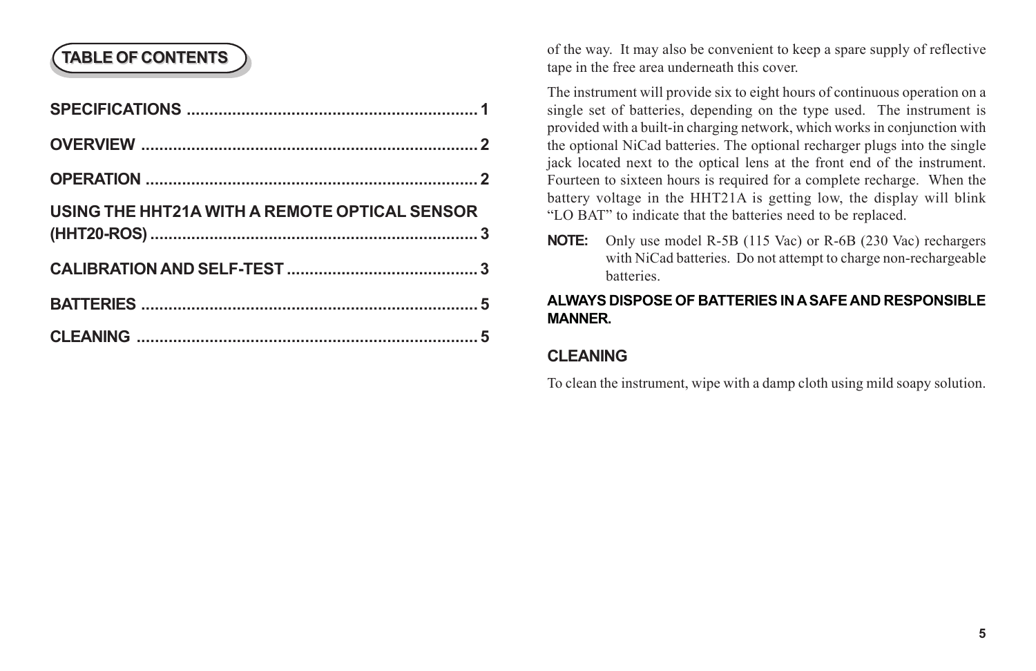# **TABLE OF CONTENTS**

| USING THE HHT21A WITH A REMOTE OPTICAL SENSOR |  |
|-----------------------------------------------|--|
|                                               |  |
|                                               |  |
|                                               |  |
|                                               |  |

of the way. It may also be convenient to keep a spare supply of reflective tape in the free area underneath this cover.

The instrument will provide six to eight hours of continuous operation on a single set of batteries, depending on the type used. The instrument is provided with a built-in charging network, which works in conjunction with the optional NiCad batteries. The optional recharger plugs into the single jack located next to the optical lens at the front end of the instrument. Fourteen to sixteen hours is required for a complete recharge. When the battery voltage in the HHT21A is getting low, the display will blink "LO BAT" to indicate that the batteries need to be replaced.

**NOTE:** Only use model R-5B (115 Vac) or R-6B (230 Vac) rechargers with NiCad batteries. Do not attempt to charge non-rechargeable batteries.

## **ALWAYS DISPOSE OF BATTERIES IN A SAFE AND RESPONSIBLE MANNER.**

# **CLEANING**

To clean the instrument, wipe with a damp cloth using mild soapy solution.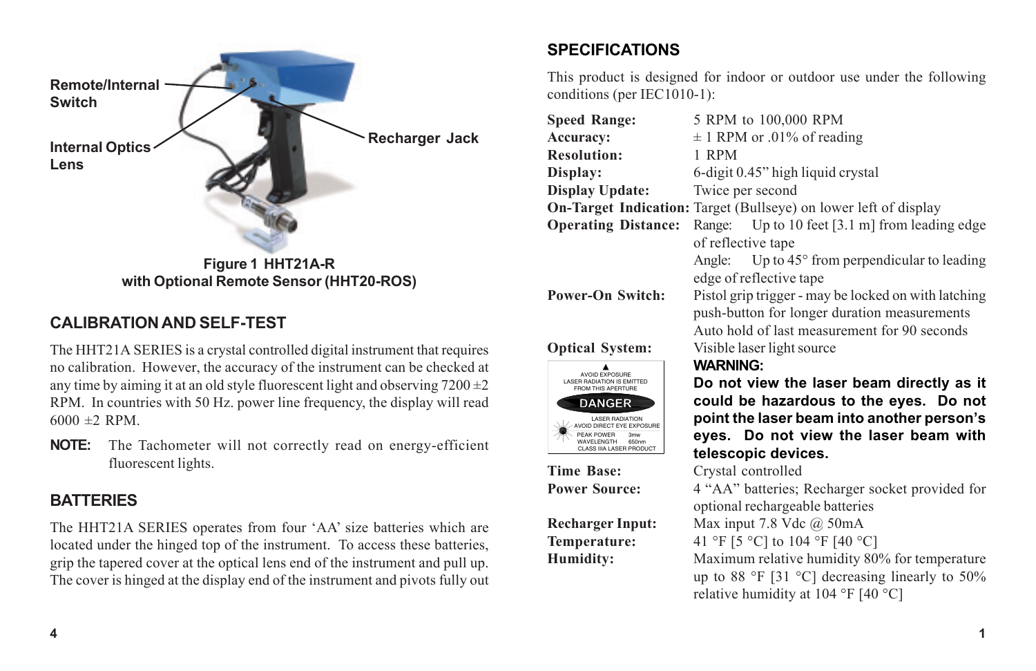

# **CALIBRATION AND SELF-TEST**

The HHT21A SERIES is a crystal controlled digital instrument that requires no calibration. However, the accuracy of the instrument can be checked at any time by aiming it at an old style fluorescent light and observing  $7200 \pm 2$ RPM. In countries with 50 Hz. power line frequency, the display will read  $6000 \pm 2$  RPM.

**NOTE:** The Tachometer will not correctly read on energy-efficient fluorescent lights.

# **BATTERIES**

The HHT21A SERIES operates from four 'AA' size batteries which are located under the hinged top of the instrument. To access these batteries, grip the tapered cover at the optical lens end of the instrument and pull up. The cover is hinged at the display end of the instrument and pivots fully out

# **SPECIFICATIONS**

AVOID EXPOSURE LASER RADIATION IS EMITTED FROM THIS APERTURE

DANGE

LASER RADIATION AVOID DIRECT EYE EXPOSURE PEAK POWER WAVELENGTH 3mw 650nm CLASS IIIA LASER PRODUCT

This product is designed for indoor or outdoor use under the following conditions (per IEC1010-1):

| <b>Speed Range:</b>        | 5 RPM to 100,000 RPM                                                                                 |  |
|----------------------------|------------------------------------------------------------------------------------------------------|--|
| <b>Accuracy:</b>           | $\pm$ 1 RPM or .01% of reading                                                                       |  |
| <b>Resolution:</b>         | 1 RPM                                                                                                |  |
| Display:                   | 6-digit 0.45" high liquid crystal                                                                    |  |
| Display Update:            | Twice per second                                                                                     |  |
|                            | <b>On-Target Indication:</b> Target (Bullseye) on lower left of display                              |  |
| <b>Operating Distance:</b> | Range: Up to 10 feet [3.1 m] from leading edge                                                       |  |
|                            | of reflective tape                                                                                   |  |
|                            | Angle: Up to $45^{\circ}$ from perpendicular to leading                                              |  |
|                            | edge of reflective tape                                                                              |  |
| <b>Power-On Switch:</b>    | Pistol grip trigger - may be locked on with latching<br>push-button for longer duration measurements |  |
|                            | Auto hold of last measurement for 90 seconds                                                         |  |
| <b>Optical System:</b>     | Visible laser light source                                                                           |  |
|                            | <b>MADNING.</b>                                                                                      |  |

# **WARNING:**



**Time Base:** Crystal controlled

**Power Source:** 4 "AA" batteries; Recharger socket provided for optional rechargeable batteries

**Recharger Input:** Max input 7.8 Vdc @ 50mA

**Temperature:** 41 °F [5 °C] to 104 °F [40 °C]

**Humidity:** Maximum relative humidity 80% for temperature up to 88 °F [31 °C] decreasing linearly to 50% relative humidity at 104 °F [40 °C]